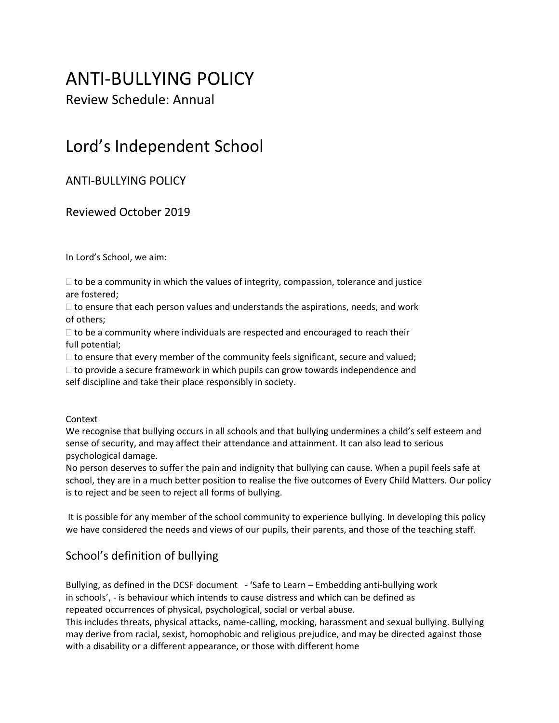# ANTI-BULLYING POLICY

Review Schedule: Annual

# Lord's Independent School

# ANTI-BULLYING POLICY

# Reviewed October 2019

In Lord's School, we aim:

 $\Box$  to be a community in which the values of integrity, compassion, tolerance and justice are fostered;

 $\Box$  to ensure that each person values and understands the aspirations, needs, and work of others;

 $\Box$  to be a community where individuals are respected and encouraged to reach their full potential;

 $\Box$  to ensure that every member of the community feels significant, secure and valued;

 $\Box$  to provide a secure framework in which pupils can grow towards independence and self discipline and take their place responsibly in society.

#### Context

We recognise that bullying occurs in all schools and that bullying undermines a child's self esteem and sense of security, and may affect their attendance and attainment. It can also lead to serious psychological damage.

No person deserves to suffer the pain and indignity that bullying can cause. When a pupil feels safe at school, they are in a much better position to realise the five outcomes of Every Child Matters. Our policy is to reject and be seen to reject all forms of bullying.

It is possible for any member of the school community to experience bullying. In developing this policy we have considered the needs and views of our pupils, their parents, and those of the teaching staff.

# School's definition of bullying

Bullying, as defined in the DCSF document - 'Safe to Learn – Embedding anti-bullying work in schools', - is behaviour which intends to cause distress and which can be defined as repeated occurrences of physical, psychological, social or verbal abuse.

This includes threats, physical attacks, name-calling, mocking, harassment and sexual bullying. Bullying may derive from racial, sexist, homophobic and religious prejudice, and may be directed against those with a disability or a different appearance, or those with different home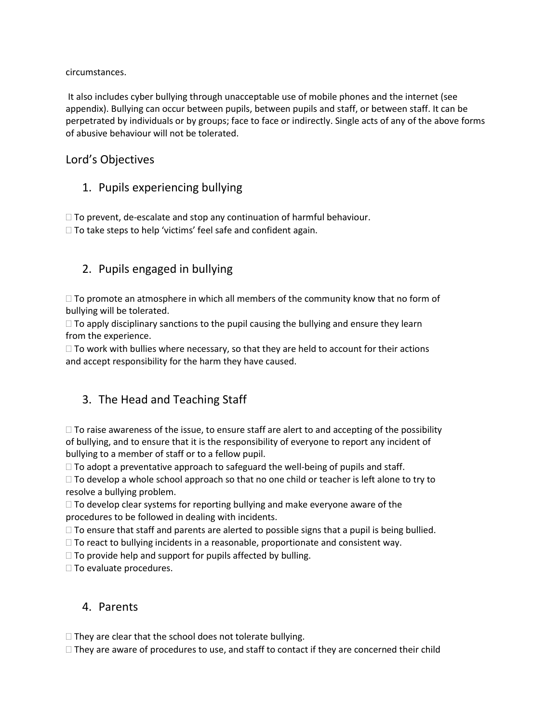#### circumstances.

It also includes cyber bullying through unacceptable use of mobile phones and the internet (see appendix). Bullying can occur between pupils, between pupils and staff, or between staff. It can be perpetrated by individuals or by groups; face to face or indirectly. Single acts of any of the above forms of abusive behaviour will not be tolerated.

### Lord's Objectives

# 1. Pupils experiencing bullying

 $\Box$  To prevent, de-escalate and stop any continuation of harmful behaviour.

 $\Box$  To take steps to help 'victims' feel safe and confident again.

# 2. Pupils engaged in bullying

 $\Box$  To promote an atmosphere in which all members of the community know that no form of bullying will be tolerated.

 $\Box$  To apply disciplinary sanctions to the pupil causing the bullying and ensure they learn from the experience.

 $\Box$  To work with bullies where necessary, so that they are held to account for their actions and accept responsibility for the harm they have caused.

# 3. The Head and Teaching Staff

 $\Box$  To raise awareness of the issue, to ensure staff are alert to and accepting of the possibility of bullying, and to ensure that it is the responsibility of everyone to report any incident of bullying to a member of staff or to a fellow pupil.

 $\Box$  To adopt a preventative approach to safeguard the well-being of pupils and staff.

 $\Box$  To develop a whole school approach so that no one child or teacher is left alone to try to resolve a bullying problem.

 $\Box$  To develop clear systems for reporting bullying and make everyone aware of the procedures to be followed in dealing with incidents.

 $\Box$  To ensure that staff and parents are alerted to possible signs that a pupil is being bullied.

 $\Box$  To react to bullying incidents in a reasonable, proportionate and consistent way.

 $\Box$  To provide help and support for pupils affected by bulling.

 $\Box$  To evaluate procedures.

## 4. Parents

 $\Box$  They are clear that the school does not tolerate bullying.

 $\Box$  They are aware of procedures to use, and staff to contact if they are concerned their child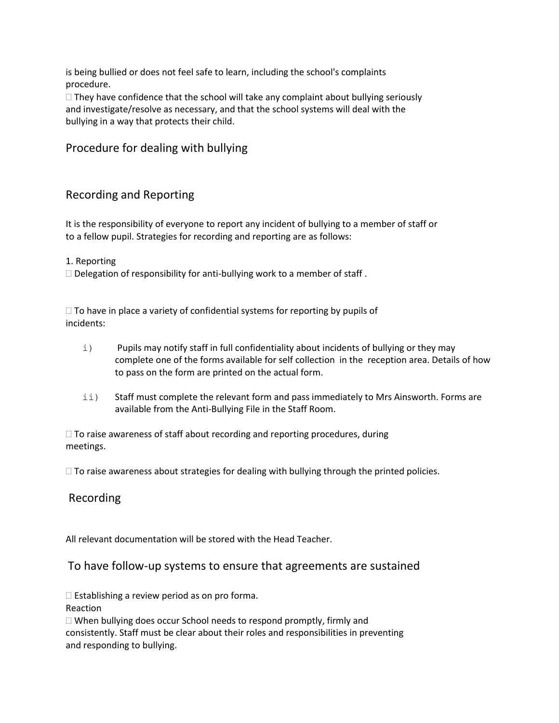is being bullied or does not feel safe to learn, including the school's complaints procedure.

 $\Box$  They have confidence that the school will take any complaint about bullying seriously and investigate/resolve as necessary, and that the school systems will deal with the bullying in a way that protects their child.

## Procedure for dealing with bullying

### Recording and Reporting

It is the responsibility of everyone to report any incident of bullying to a member of staff or to a fellow pupil. Strategies for recording and reporting are as follows:

1. Reporting

 $\Box$  Delegation of responsibility for anti-bullying work to a member of staff.

 $\Box$  To have in place a variety of confidential systems for reporting by pupils of incidents:

- i) Pupils may notify staff in full confidentiality about incidents of bullying or they may complete one of the forms available for self collection in the reception area. Details of how to pass on the form are printed on the actual form.
- ii) Staff must complete the relevant form and pass immediately to Mrs Ainsworth. Forms are available from the Anti-Bullying File in the Staff Room.

 $\Box$  To raise awareness of staff about recording and reporting procedures, during meetings.

 $\Box$  To raise awareness about strategies for dealing with bullying through the printed policies.

## Recording

All relevant documentation will be stored with the Head Teacher.

#### To have follow-up systems to ensure that agreements are sustained

 $\square$  Establishing a review period as on pro forma.

Reaction

 $\Box$  When bullying does occur School needs to respond promptly, firmly and consistently. Staff must be clear about their roles and responsibilities in preventing and responding to bullying.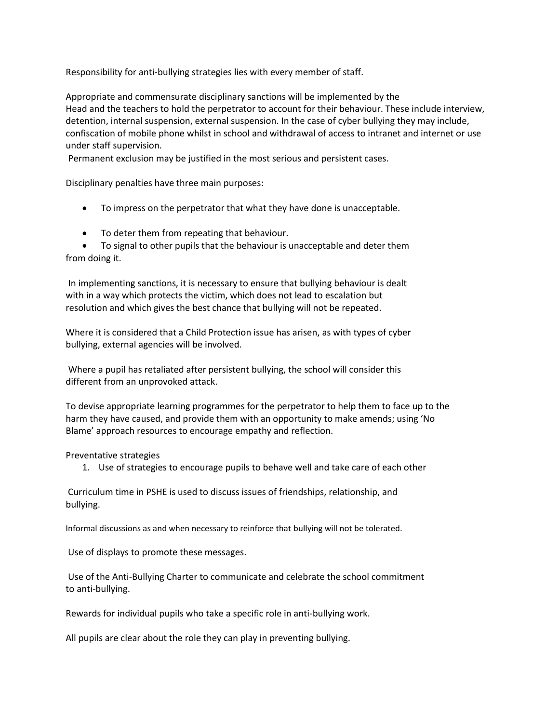Responsibility for anti-bullying strategies lies with every member of staff.

Appropriate and commensurate disciplinary sanctions will be implemented by the Head and the teachers to hold the perpetrator to account for their behaviour. These include interview, detention, internal suspension, external suspension. In the case of cyber bullying they may include, confiscation of mobile phone whilst in school and withdrawal of access to intranet and internet or use under staff supervision.

Permanent exclusion may be justified in the most serious and persistent cases.

Disciplinary penalties have three main purposes:

- To impress on the perpetrator that what they have done is unacceptable.
- To deter them from repeating that behaviour.

• To signal to other pupils that the behaviour is unacceptable and deter them from doing it.

In implementing sanctions, it is necessary to ensure that bullying behaviour is dealt with in a way which protects the victim, which does not lead to escalation but resolution and which gives the best chance that bullying will not be repeated.

Where it is considered that a Child Protection issue has arisen, as with types of cyber bullying, external agencies will be involved.

Where a pupil has retaliated after persistent bullying, the school will consider this different from an unprovoked attack.

To devise appropriate learning programmes for the perpetrator to help them to face up to the harm they have caused, and provide them with an opportunity to make amends; using 'No Blame' approach resources to encourage empathy and reflection.

Preventative strategies

1. Use of strategies to encourage pupils to behave well and take care of each other

Curriculum time in PSHE is used to discuss issues of friendships, relationship, and bullying.

Informal discussions as and when necessary to reinforce that bullying will not be tolerated.

Use of displays to promote these messages.

Use of the Anti-Bullying Charter to communicate and celebrate the school commitment to anti-bullying.

Rewards for individual pupils who take a specific role in anti-bullying work.

All pupils are clear about the role they can play in preventing bullying.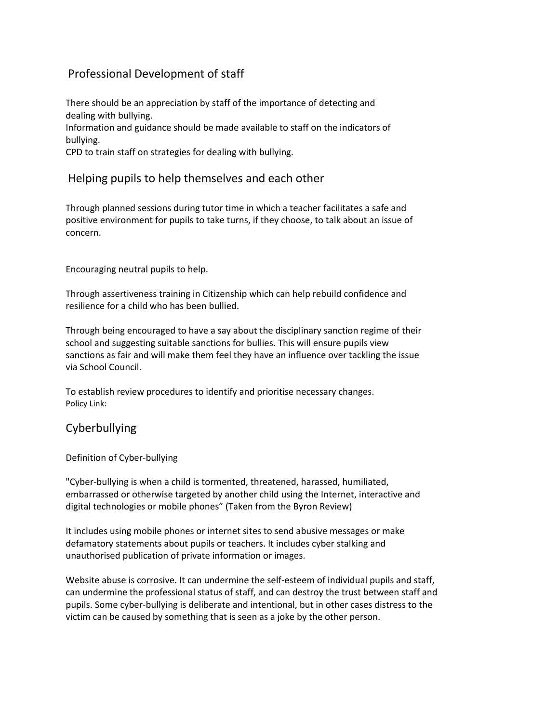# Professional Development of staff

There should be an appreciation by staff of the importance of detecting and dealing with bullying. Information and guidance should be made available to staff on the indicators of bullying.

CPD to train staff on strategies for dealing with bullying.

#### Helping pupils to help themselves and each other

Through planned sessions during tutor time in which a teacher facilitates a safe and positive environment for pupils to take turns, if they choose, to talk about an issue of concern.

Encouraging neutral pupils to help.

Through assertiveness training in Citizenship which can help rebuild confidence and resilience for a child who has been bullied.

Through being encouraged to have a say about the disciplinary sanction regime of their school and suggesting suitable sanctions for bullies. This will ensure pupils view sanctions as fair and will make them feel they have an influence over tackling the issue via School Council.

To establish review procedures to identify and prioritise necessary changes. Policy Link:

### Cyberbullying

Definition of Cyber-bullying

"Cyber-bullying is when a child is tormented, threatened, harassed, humiliated, embarrassed or otherwise targeted by another child using the Internet, interactive and digital technologies or mobile phones" (Taken from the Byron Review)

It includes using mobile phones or internet sites to send abusive messages or make defamatory statements about pupils or teachers. It includes cyber stalking and unauthorised publication of private information or images.

Website abuse is corrosive. It can undermine the self-esteem of individual pupils and staff, can undermine the professional status of staff, and can destroy the trust between staff and pupils. Some cyber-bullying is deliberate and intentional, but in other cases distress to the victim can be caused by something that is seen as a joke by the other person.